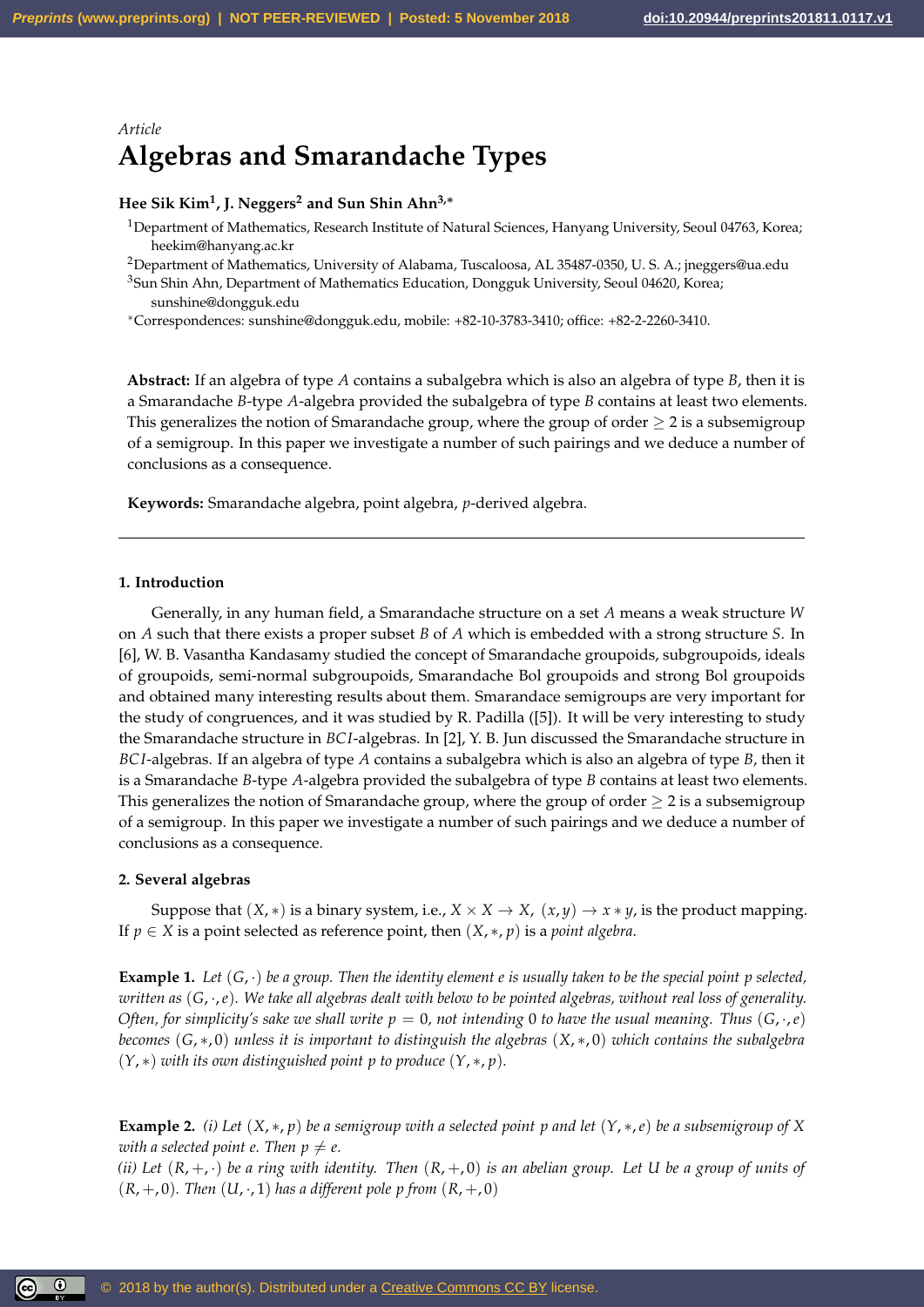# *Article* **Algebras and Smarandache Types**

# **Hee Sik Kim<sup>1</sup> , J. Neggers<sup>2</sup> and Sun Shin Ahn3,**<sup>∗</sup>

- <sup>1</sup>Department of Mathematics, Research Institute of Natural Sciences, Hanyang University, Seoul 04763, Korea; heekim@hanyang.ac.kr
- <sup>2</sup>Department of Mathematics, University of Alabama, Tuscaloosa, AL 35487-0350, U. S. A.; jneggers@ua.edu

<sup>3</sup>Sun Shin Ahn, Department of Mathematics Education, Dongguk University, Seoul 04620, Korea; sunshine@dongguk.edu

<sup>∗</sup>Correspondences: sunshine@dongguk.edu, mobile: +82-10-3783-3410; office: +82-2-2260-3410.

**Abstract:** If an algebra of type *A* contains a subalgebra which is also an algebra of type *B*, then it is a Smarandache *B*-type *A*-algebra provided the subalgebra of type *B* contains at least two elements. This generalizes the notion of Smarandache group, where the group of order  $\geq 2$  is a subsemigroup of a semigroup. In this paper we investigate a number of such pairings and we deduce a number of conclusions as a consequence.

**Keywords:** Smarandache algebra, point algebra, *p*-derived algebra.

## **1. Introduction**

Generally, in any human field, a Smarandache structure on a set *A* means a weak structure *W* on *A* such that there exists a proper subset *B* of *A* which is embedded with a strong structure *S*. In [6], W. B. Vasantha Kandasamy studied the concept of Smarandache groupoids, subgroupoids, ideals of groupoids, semi-normal subgroupoids, Smarandache Bol groupoids and strong Bol groupoids and obtained many interesting results about them. Smarandace semigroups are very important for the study of congruences, and it was studied by R. Padilla ([5]). It will be very interesting to study the Smarandache structure in *BC I*-algebras. In [2], Y. B. Jun discussed the Smarandache structure in *BC I*-algebras. If an algebra of type *A* contains a subalgebra which is also an algebra of type *B*, then it is a Smarandache *B*-type *A*-algebra provided the subalgebra of type *B* contains at least two elements. This generalizes the notion of Smarandache group, where the group of order  $\geq 2$  is a subsemigroup of a semigroup. In this paper we investigate a number of such pairings and we deduce a number of conclusions as a consequence.

### **2. Several algebras**

 $\circledcirc$ 

Suppose that  $(X, *)$  is a binary system, i.e.,  $X \times X \rightarrow X$ ,  $(x, y) \rightarrow x * y$ , is the product mapping. If  $p \in X$  is a point selected as reference point, then  $(X, \ast, p)$  is a *point algebra*.

**Example 1.** Let  $(G, \cdot)$  be a group. Then the identity element e is usually taken to be the special point p selected, *written as* (*G*, ·,*e*)*. We take all algebras dealt with below to be pointed algebras, without real loss of generality. Often, for simplicity's sake we shall write*  $p = 0$ , not intending 0 to have the usual meaning. Thus  $(G, \cdot, e)$ *becomes* (*G*, ∗, 0) *unless it is important to distinguish the algebras* (*X*, ∗, 0) *which contains the subalgebra* (*Y*, ∗) *with its own distinguished point p to produce* (*Y*, ∗, *p*)*.*

**Example 2.** *(i)* Let  $(X, * , p)$  be a semigroup with a selected point p and let  $(Y, *, e)$  be a subsemigroup of X *with a selected point e. Then*  $p \neq e$ *.* 

*(ii)* Let  $(R, +, \cdot)$  be a ring with identity. Then  $(R, +, 0)$  is an abelian group. Let U be a group of units of  $(R, +, 0)$ *. Then*  $(U, \cdot, 1)$  *has a different pole p from*  $(R, +, 0)$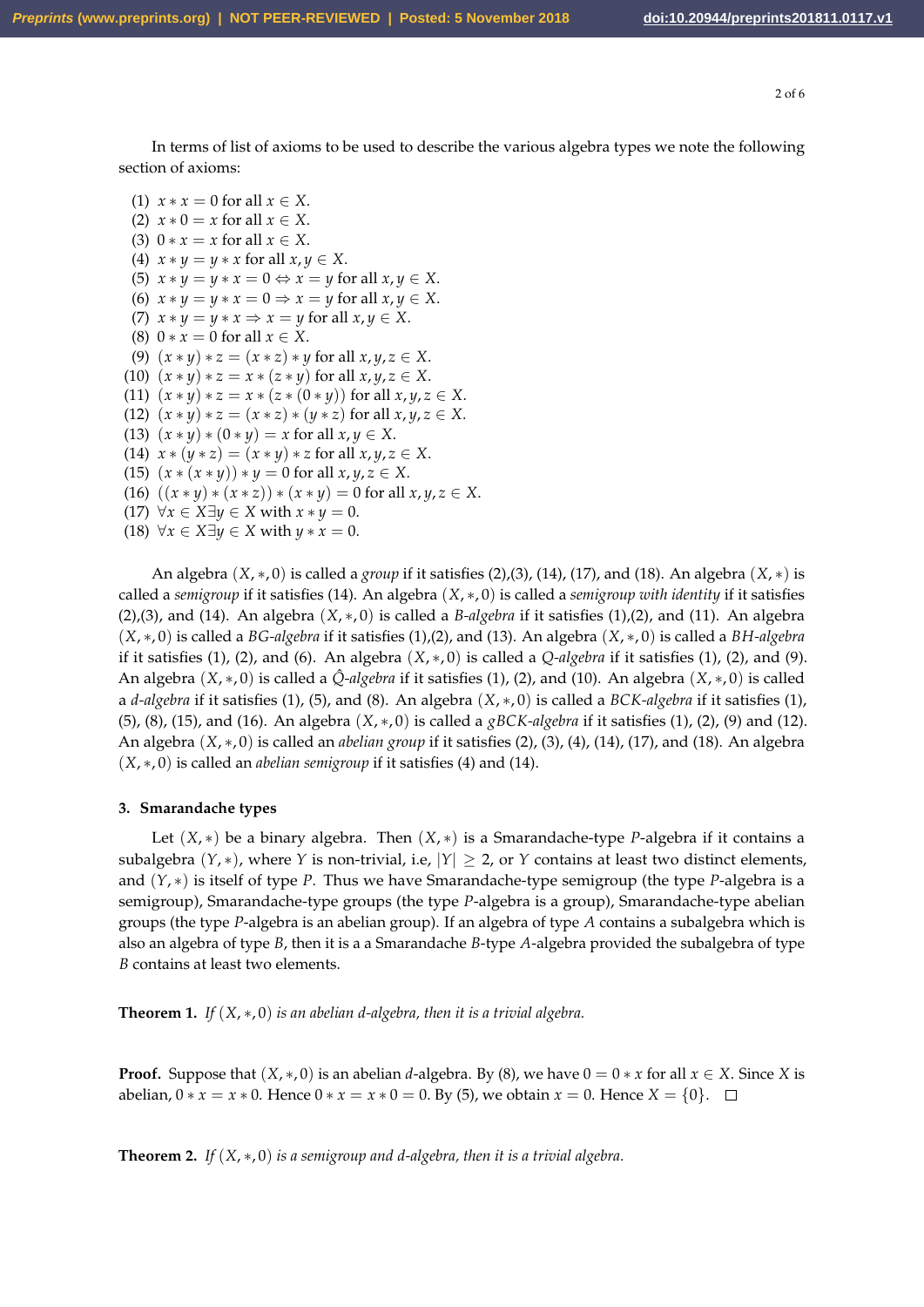2 of 6

In terms of list of axioms to be used to describe the various algebra types we note the following section of axioms:

(1)  $x * x = 0$  for all  $x \in X$ . (2)  $x * 0 = x$  for all  $x \in X$ . (3)  $0 * x = x$  for all  $x \in X$ . (4)  $x * y = y * x$  for all  $x, y \in X$ . (5)  $x * y = y * x = 0 \Leftrightarrow x = y$  for all  $x, y \in X$ . (6)  $x * y = y * x = 0 \Rightarrow x = y$  for all  $x, y \in X$ . (7)  $x * y = y * x \Rightarrow x = y$  for all  $x, y \in X$ . (8)  $0 * x = 0$  for all  $x \in X$ . (9)  $(x * y) * z = (x * z) * y$  for all  $x, y, z \in X$ . (10)  $(x * y) * z = x * (z * y)$  for all  $x, y, z \in X$ . (11)  $(x * y) * z = x * (z * (0 * y))$  for all  $x, y, z \in X$ . (12)  $(x * y) * z = (x * z) * (y * z)$  for all  $x, y, z \in X$ . (13)  $(x * y) * (0 * y) = x$  for all  $x, y \in X$ . (14)  $x * (y * z) = (x * y) * z$  for all  $x, y, z \in X$ . (15)  $(x * (x * y)) * y = 0$  for all  $x, y, z \in X$ . (16)  $((x * y) * (x * z)) * (x * y) = 0$  for all  $x, y, z \in X$ . (17)  $\forall x \in X \exists y \in X$  with  $x * y = 0$ . (18)  $\forall x \in X \exists y \in X \text{ with } y * x = 0.$ 

An algebra (*X*, ∗, 0) is called a *group* if it satisfies (2),(3), (14), (17), and (18). An algebra (*X*, ∗) is called a *semigroup* if it satisfies (14). An algebra (*X*, ∗, 0) is called a *semigroup with identity* if it satisfies (2),(3), and (14). An algebra (*X*, ∗, 0) is called a *B-algebra* if it satisfies (1),(2), and (11). An algebra (*X*, ∗, 0) is called a *BG-algebra* if it satisfies (1),(2), and (13). An algebra (*X*, ∗, 0) is called a *BH-algebra* if it satisfies (1), (2), and (6). An algebra  $(X, *, 0)$  is called a *Q-algebra* if it satisfies (1), (2), and (9). An algebra (*X*, ∗, 0) is called a *Q*ˆ*-algebra* if it satisfies (1), (2), and (10). An algebra (*X*, ∗, 0) is called a *d-algebra* if it satisfies (1), (5), and (8). An algebra (*X*, ∗, 0) is called a *BCK-algebra* if it satisfies (1), (5), (8), (15), and (16). An algebra (*X*, ∗, 0) is called a *gBCK-algebra* if it satisfies (1), (2), (9) and (12). An algebra (*X*, ∗, 0) is called an *abelian group* if it satisfies (2), (3), (4), (14), (17), and (18). An algebra (*X*, ∗, 0) is called an *abelian semigroup* if it satisfies (4) and (14).

#### **3. Smarandache types**

Let (*X*, ∗) be a binary algebra. Then (*X*, ∗) is a Smarandache-type *P*-algebra if it contains a subalgebra  $(Y, *)$ , where *Y* is non-trivial, i.e,  $|Y| \geq 2$ , or *Y* contains at least two distinct elements, and (*Y*, ∗) is itself of type *P*. Thus we have Smarandache-type semigroup (the type *P*-algebra is a semigroup), Smarandache-type groups (the type *P*-algebra is a group), Smarandache-type abelian groups (the type *P*-algebra is an abelian group). If an algebra of type *A* contains a subalgebra which is also an algebra of type *B*, then it is a a Smarandache *B*-type *A*-algebra provided the subalgebra of type *B* contains at least two elements.

**Theorem 1.** *If* (*X*, ∗, 0) *is an abelian d-algebra, then it is a trivial algebra.*

**Proof.** Suppose that  $(X, *, 0)$  is an abelian *d*-algebra. By (8), we have  $0 = 0 * x$  for all  $x \in X$ . Since *X* is abelian,  $0 * x = x * 0$ . Hence  $0 * x = x * 0 = 0$ . By (5), we obtain  $x = 0$ . Hence  $X = \{0\}$ . □

**Theorem 2.** *If* (*X*, ∗, 0) *is a semigroup and d-algebra, then it is a trivial algebra.*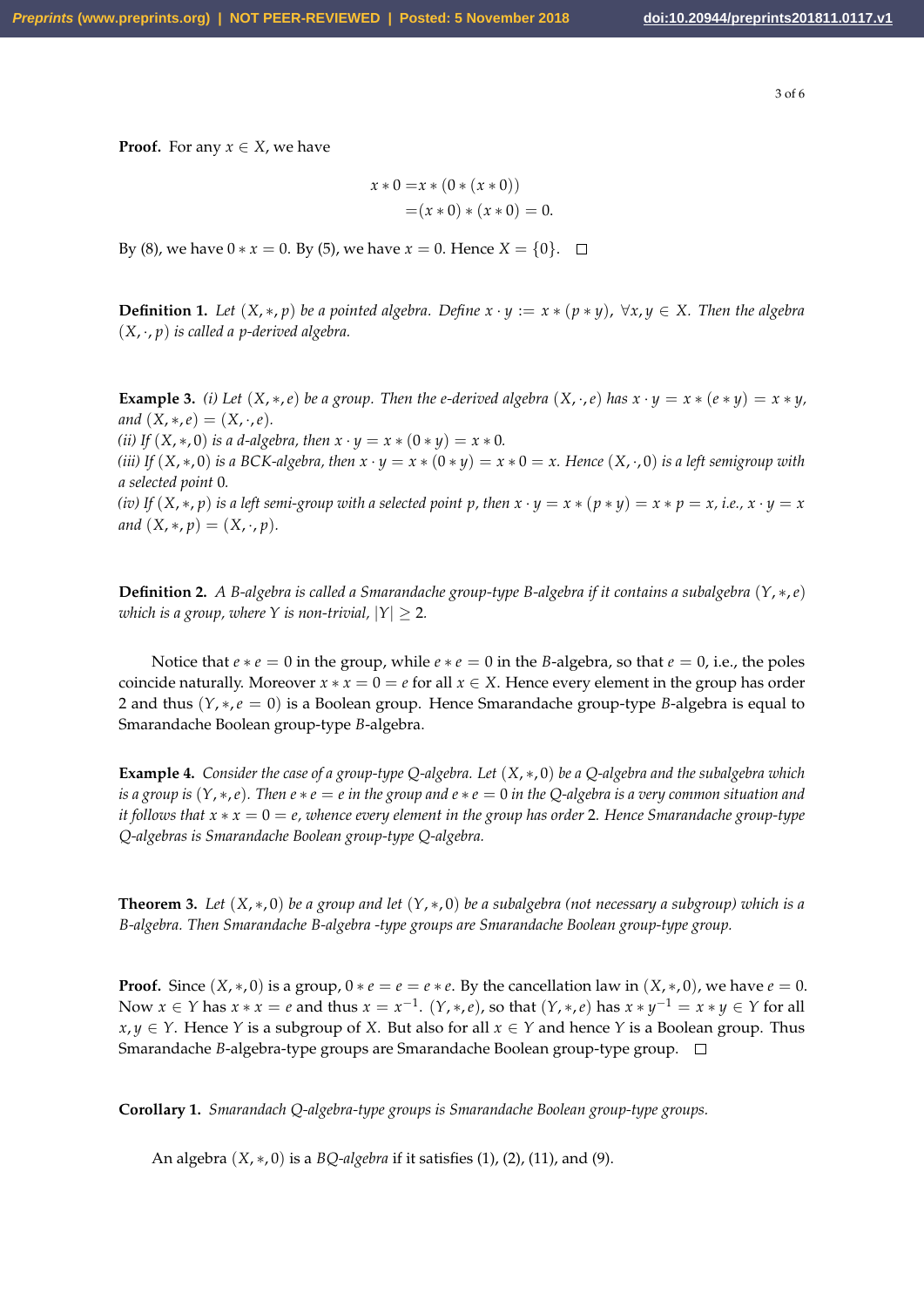3 of 6

**Proof.** For any  $x \in X$ , we have

$$
x * 0 = x * (0 * (x * 0))
$$
  
=  $(x * 0) * (x * 0) = 0.$ 

By (8), we have  $0 * x = 0$ . By (5), we have  $x = 0$ . Hence  $X = \{0\}$ . □

**Definition 1.** Let  $(X, *, p)$  be a pointed algebra. Define  $x \cdot y := x * (p * y)$ ,  $\forall x, y \in X$ . Then the algebra (*X*, ·, *p*) *is called a p-derived algebra.*

**Example 3.** *(i)* Let  $(X, *, e)$  be a group. Then the *e*-derived algebra  $(X, \cdot, e)$  has  $x \cdot y = x * (e * y) = x * y$ , *and*  $(X, *, e) = (X, \cdot, e)$ *.* 

*(ii)* If  $(X, *{,}0)$  *is a d-algebra, then*  $x \cdot y = x * (0 * y) = x * 0$ *.* 

*(iii)* If  $(X, * , 0)$  *is a* BCK-algebra, then  $x \cdot y = x * (0 * y) = x * 0 = x$ . Hence  $(X, \cdot, 0)$  *is a left semigroup with a selected point* 0*.*

(iv) If  $(X,*,p)$  is a left semi-group with a selected point p, then  $x \cdot y = x * (p * y) = x * p = x$ , i.e.,  $x \cdot y = x$ *and*  $(X, *, p) = (X, \cdot, p)$ *.* 

**Definition 2.** *A B-algebra is called a Smarandache group-type B-algebra if it contains a subalgebra* (*Y*, ∗,*e*) *which is a group, where Y is non-trivial,*  $|Y| \ge 2$ *.* 

Notice that  $e * e = 0$  in the group, while  $e * e = 0$  in the *B*-algebra, so that  $e = 0$ , i.e., the poles coincide naturally. Moreover  $x * x = 0 = e$  for all  $x \in X$ . Hence every element in the group has order 2 and thus (*Y*, ∗,*e* = 0) is a Boolean group. Hence Smarandache group-type *B*-algebra is equal to Smarandache Boolean group-type *B*-algebra.

**Example 4.** *Consider the case of a group-type Q-algebra. Let* (*X*, ∗, 0) *be a Q-algebra and the subalgebra which is a group is*  $(Y, *, e)$ *. Then*  $e * e = e$  *in the group and*  $e * e = 0$  *in the Q-algebra is a very common situation and it follows that*  $x * x = 0 = e$ , whence every element in the group has order 2. Hence Smarandache group-type *Q-algebras is Smarandache Boolean group-type Q-algebra.*

**Theorem 3.** *Let* (*X*, ∗, 0) *be a group and let* (*Y*, ∗, 0) *be a subalgebra (not necessary a subgroup) which is a B-algebra. Then Smarandache B-algebra -type groups are Smarandache Boolean group-type group.*

**Proof.** Since  $(X, *0)$  is a group,  $0 * e = e = e * e$ . By the cancellation law in  $(X, *0)$ , we have  $e = 0$ . Now  $x \in Y$  has  $x * x = e$  and thus  $x = x^{-1}$ .  $(Y, *, e)$ , so that  $(Y, *, e)$  has  $x * y^{-1} = x * y \in Y$  for all *x*, *y* ∈ *Y*. Hence *Y* is a subgroup of *X*. But also for all  $x \in Y$  and hence *Y* is a Boolean group. Thus Smarandache *B*-algebra-type groups are Smarandache Boolean group-type group.

**Corollary 1.** *Smarandach Q-algebra-type groups is Smarandache Boolean group-type groups.*

An algebra (*X*, ∗, 0) is a *BQ-algebra* if it satisfies (1), (2), (11), and (9).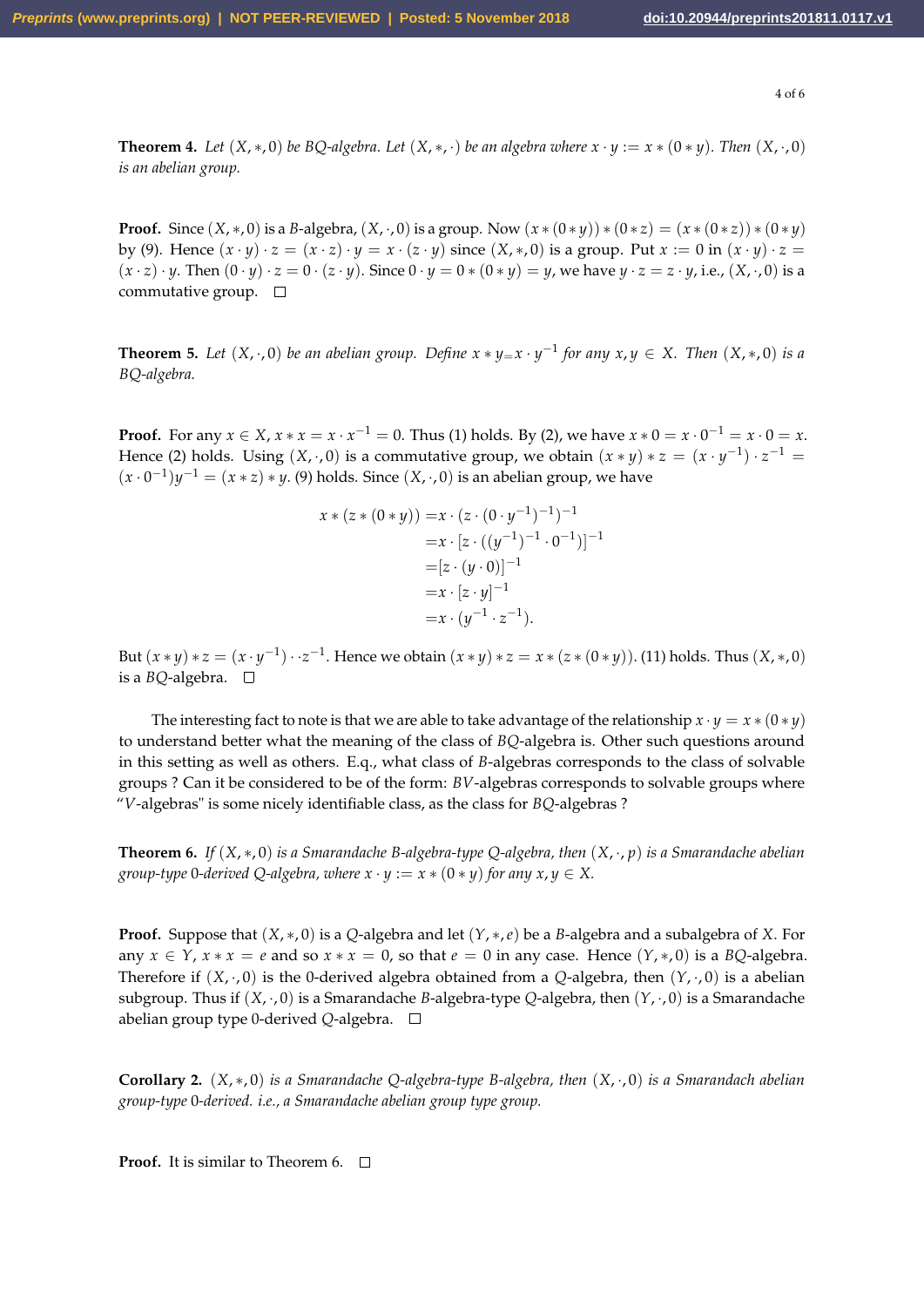4 of 6

**Theorem 4.** Let  $(X, *, 0)$  be BQ-algebra. Let  $(X, *, \cdot)$  be an algebra where  $x \cdot y := x * (0 * y)$ . Then  $(X, \cdot, 0)$ *is an abelian group.*

**Proof.** Since  $(X, *0)$  is a *B*-algebra,  $(X, \cdot, 0)$  is a group. Now  $(x * (0 * y)) * (0 * z) = (x * (0 * z)) * (0 * y)$ by (9). Hence  $(x \cdot y) \cdot z = (x \cdot z) \cdot y = x \cdot (z \cdot y)$  since  $(X,*,0)$  is a group. Put  $x := 0$  in  $(x \cdot y) \cdot z =$  $(x \cdot z) \cdot y$ . Then  $(0 \cdot y) \cdot z = 0 \cdot (z \cdot y)$ . Since  $0 \cdot y = 0 * (0 * y) = y$ , we have  $y \cdot z = z \cdot y$ , i.e.,  $(X, \cdot, 0)$  is a commutative group.  $\square$ 

**Theorem 5.** Let  $(X, \cdot, 0)$  be an abelian group. Define  $x * y = x \cdot y^{-1}$  for any  $x, y \in X$ . Then  $(X, \cdot, 0)$  is a *BQ-algebra.*

**Proof.** For any  $x \in X$ ,  $x * x = x \cdot x^{-1} = 0$ . Thus (1) holds. By (2), we have  $x * 0 = x \cdot 0^{-1} = x \cdot 0 = x$ . Hence (2) holds. Using  $(X, \cdot, 0)$  is a commutative group, we obtain  $(x * y) * z = (x \cdot y^{-1}) \cdot z^{-1} =$  $(x \cdot 0^{-1})y^{-1} = (x * z) * y$ . (9) holds. Since  $(X, \cdot, 0)$  is an abelian group, we have

$$
x * (z * (0 * y)) = x \cdot (z \cdot (0 \cdot y^{-1})^{-1})^{-1}
$$
  
=  $x \cdot [z \cdot ((y^{-1})^{-1} \cdot 0^{-1})]^{-1}$   
=  $[z \cdot (y \cdot 0)]^{-1}$   
=  $x \cdot [z \cdot y]^{-1}$   
=  $x \cdot (y^{-1} \cdot z^{-1})$ .

But  $(x * y) * z = (x \cdot y^{-1}) \cdot z^{-1}$ . Hence we obtain  $(x * y) * z = x * (z * (0 * y))$ . (11) holds. Thus  $(X, *, 0)$ is a *BQ*-algebra.

The interesting fact to note is that we are able to take advantage of the relationship  $x \cdot y = x * (0 * y)$ to understand better what the meaning of the class of *BQ*-algebra is. Other such questions around in this setting as well as others. E.q., what class of *B*-algebras corresponds to the class of solvable groups ? Can it be considered to be of the form: *BV*-algebras corresponds to solvable groups where "*V*-algebras" is some nicely identifiable class, as the class for *BQ*-algebras ?

**Theorem 6.** *If* (*X*, ∗, 0) *is a Smarandache B-algebra-type Q-algebra, then* (*X*, ·, *p*) *is a Smarandache abelian group-type* 0-derived Q-algebra, where  $x \cdot y := x * (0 * y)$  for any  $x, y \in X$ .

**Proof.** Suppose that (*X*, ∗, 0) is a *Q*-algebra and let (*Y*, ∗,*e*) be a *B*-algebra and a subalgebra of *X*. For any  $x \in Y$ ,  $x * x = e$  and so  $x * x = 0$ , so that  $e = 0$  in any case. Hence  $(Y, *0)$  is a *BQ*-algebra. Therefore if  $(X, \cdot, 0)$  is the 0-derived algebra obtained from a *Q*-algebra, then  $(Y, \cdot, 0)$  is a abelian subgroup. Thus if (*X*, ·, 0) is a Smarandache *B*-algebra-type *Q*-algebra, then (*Y*, ·, 0) is a Smarandache abelian group type 0-derived *Q*-algebra.

**Corollary 2.** (*X*, ∗, 0) *is a Smarandache Q-algebra-type B-algebra, then* (*X*, ·, 0) *is a Smarandach abelian group-type* 0*-derived. i.e., a Smarandache abelian group type group.*

**Proof.** It is similar to Theorem 6. □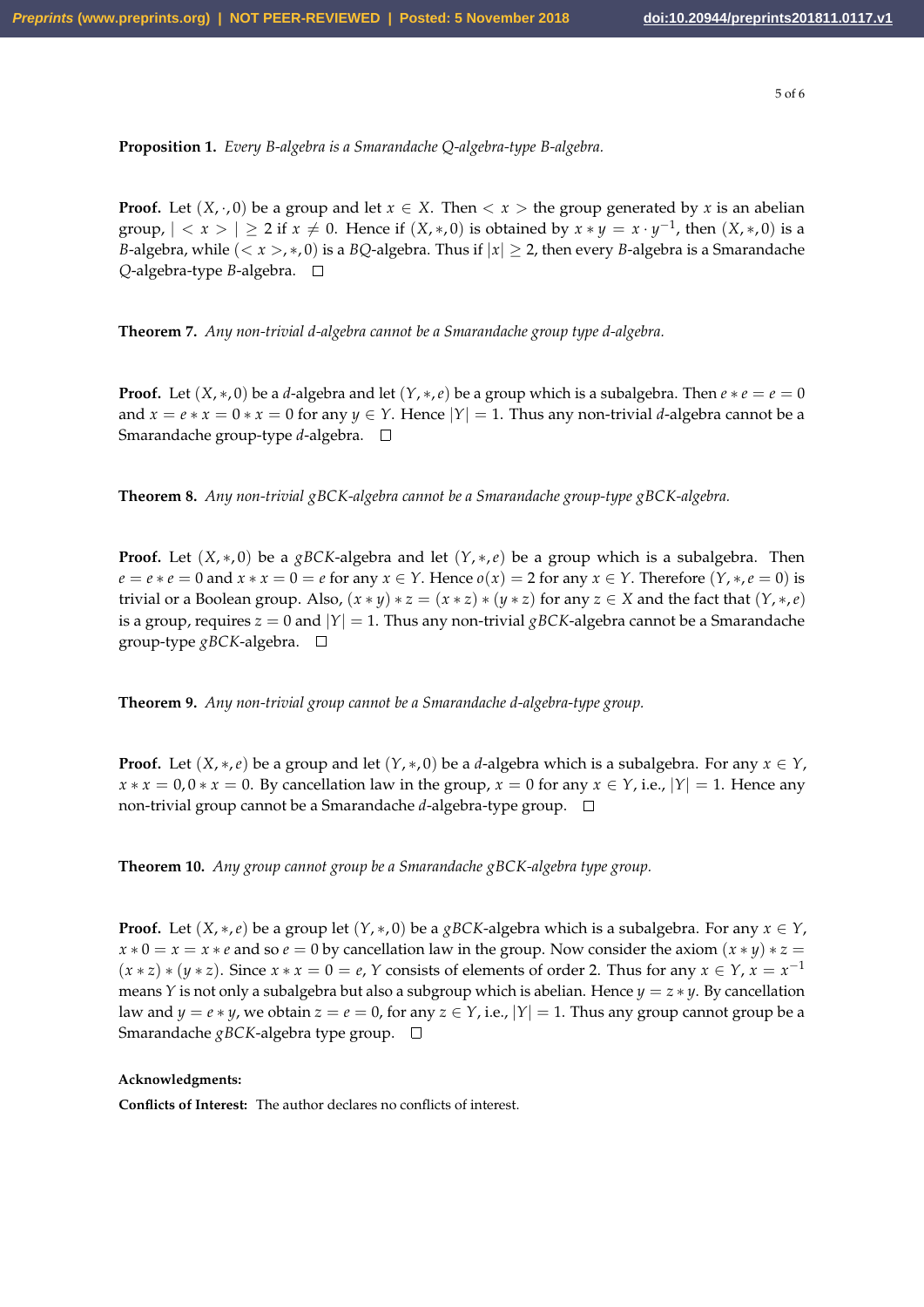**Proposition 1.** *Every B-algebra is a Smarandache Q-algebra-type B-algebra.*

**Proof.** Let  $(X, \cdot, 0)$  be a group and let  $x \in X$ . Then  $\lt x >$  the group generated by x is an abelian group,  $| \langle x \rangle | \ge 2$  if  $x \ne 0$ . Hence if  $(X,*,0)$  is obtained by  $x * y = x \cdot y^{-1}$ , then  $(X,*,0)$  is a *B*-algebra, while  $(< x > 0$ , *x*, 0) is a *BQ*-algebra. Thus if  $|x| \ge 2$ , then every *B*-algebra is a Smarandache *Q*-algebra-type *B*-algebra.

**Theorem 7.** *Any non-trivial d-algebra cannot be a Smarandache group type d-algebra.*

**Proof.** Let  $(X, *, 0)$  be a *d*-algebra and let  $(Y, *, e)$  be a group which is a subalgebra. Then  $e * e = e = 0$ and  $x = e * x = 0 * x = 0$  for any  $y \in Y$ . Hence  $|Y| = 1$ . Thus any non-trivial *d*-algebra cannot be a Smarandache group-type *d*-algebra.

**Theorem 8.** *Any non-trivial gBCK-algebra cannot be a Smarandache group-type gBCK-algebra.*

**Proof.** Let  $(X, *, 0)$  be a *gBCK*-algebra and let  $(Y, *, e)$  be a group which is a subalgebra. Then  $e = e * e = 0$  and  $x * x = 0 = e$  for any  $x \in Y$ . Hence  $o(x) = 2$  for any  $x \in Y$ . Therefore  $(Y, *, e = 0)$  is trivial or a Boolean group. Also,  $(x * y) * z = (x * z) * (y * z)$  for any  $z \in X$  and the fact that  $(Y, *, e)$ is a group, requires  $z = 0$  and  $|Y| = 1$ . Thus any non-trivial *gBCK*-algebra cannot be a Smarandache group-type *gBCK*-algebra.

**Theorem 9.** *Any non-trivial group cannot be a Smarandache d-algebra-type group.*

**Proof.** Let  $(X, *, e)$  be a group and let  $(Y, *, 0)$  be a *d*-algebra which is a subalgebra. For any  $x \in Y$ ,  $x * x = 0$ ,  $0 * x = 0$ . By cancellation law in the group,  $x = 0$  for any  $x \in Y$ , i.e.,  $|Y| = 1$ . Hence any non-trivial group cannot be a Smarandache *d*-algebra-type group.

**Theorem 10.** *Any group cannot group be a Smarandache gBCK-algebra type group.*

**Proof.** Let  $(X, *, e)$  be a group let  $(Y, *, 0)$  be a *gBCK*-algebra which is a subalgebra. For any  $x \in Y$ ,  $x * 0 = x = x * e$  and so  $e = 0$  by cancellation law in the group. Now consider the axiom  $(x * y) * z = 0$  $(x * z) * (y * z)$ . Since  $x * x = 0 = e$ , *Y* consists of elements of order 2. Thus for any  $x \in Y$ ,  $x = x^{-1}$ means *Y* is not only a subalgebra but also a subgroup which is abelian. Hence  $y = z * y$ . By cancellation law and  $y = e * y$ , we obtain  $z = e = 0$ , for any  $z \in Y$ , i.e.,  $|Y| = 1$ . Thus any group cannot group be a Smarandache *gBCK*-algebra type group.

#### **Acknowledgments:**

**Conflicts of Interest:** The author declares no conflicts of interest.